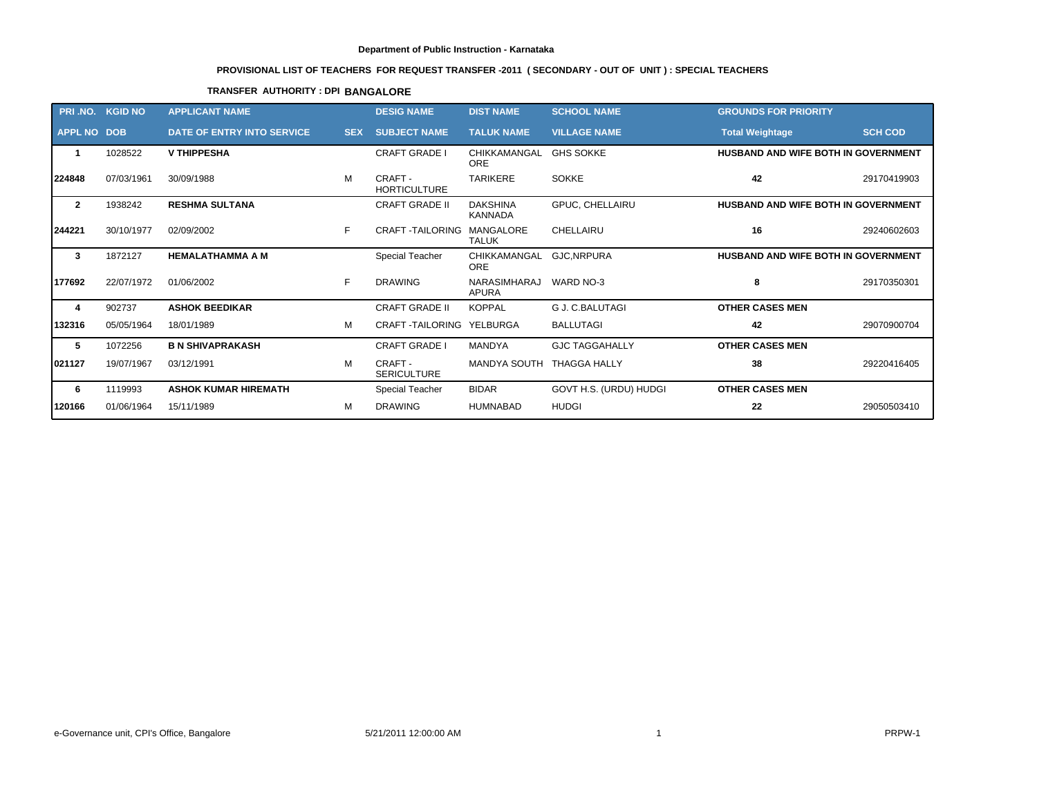# **PROVISIONAL LIST OF TEACHERS FOR REQUEST TRANSFER -2011 ( SECONDARY - OUT OF UNIT ) : SPECIAL TEACHERS**

## **TRANSFER AUTHORITY : DPI BANGALORE**

|                    | PRI.NO. KGID NO | <b>APPLICANT NAME</b>             |            | <b>DESIG NAME</b>             | <b>DIST NAME</b>                  | <b>SCHOOL NAME</b>     | <b>GROUNDS FOR PRIORITY</b>         |                |
|--------------------|-----------------|-----------------------------------|------------|-------------------------------|-----------------------------------|------------------------|-------------------------------------|----------------|
| <b>APPL NO DOB</b> |                 | <b>DATE OF ENTRY INTO SERVICE</b> | <b>SEX</b> | <b>SUBJECT NAME</b>           | <b>TALUK NAME</b>                 | <b>VILLAGE NAME</b>    | <b>Total Weightage</b>              | <b>SCH COD</b> |
|                    | 1028522         | <b>V THIPPESHA</b>                |            | <b>CRAFT GRADE I</b>          | CHIKKAMANGAL<br><b>ORE</b>        | <b>GHS SOKKE</b>       | HUSBAND AND WIFE BOTH IN GOVERNMENT |                |
| 224848             | 07/03/1961      | 30/09/1988                        | м          | CRAFT-<br><b>HORTICULTURE</b> | <b>TARIKERE</b>                   | <b>SOKKE</b>           | 42                                  | 29170419903    |
| $\mathbf{2}$       | 1938242         | <b>RESHMA SULTANA</b>             |            | <b>CRAFT GRADE II</b>         | <b>DAKSHINA</b><br><b>KANNADA</b> | GPUC, CHELLAIRU        | HUSBAND AND WIFE BOTH IN GOVERNMENT |                |
| 244221             | 30/10/1977      | 02/09/2002                        | F.         | <b>CRAFT-TAILORING</b>        | MANGALORE<br><b>TALUK</b>         | CHELLAIRU              | 16                                  | 29240602603    |
| 3                  | 1872127         | <b>HEMALATHAMMA A M</b>           |            | <b>Special Teacher</b>        | CHIKKAMANGAL<br><b>ORE</b>        | GJC, NRPURA            | HUSBAND AND WIFE BOTH IN GOVERNMENT |                |
| 177692             | 22/07/1972      | 01/06/2002                        | F.         | <b>DRAWING</b>                | NARASIMHARAJ<br><b>APURA</b>      | WARD NO-3              | 8                                   | 29170350301    |
| 4                  | 902737          | <b>ASHOK BEEDIKAR</b>             |            | <b>CRAFT GRADE II</b>         | <b>KOPPAL</b>                     | G J. C.BALUTAGI        | <b>OTHER CASES MEN</b>              |                |
| 132316             | 05/05/1964      | 18/01/1989                        | м          | <b>CRAFT-TAILORING</b>        | YELBURGA                          | <b>BALLUTAGI</b>       | 42                                  | 29070900704    |
| 5                  | 1072256         | <b>B N SHIVAPRAKASH</b>           |            | <b>CRAFT GRADE I</b>          | <b>MANDYA</b>                     | <b>GJC TAGGAHALLY</b>  | <b>OTHER CASES MEN</b>              |                |
| 021127             | 19/07/1967      | 03/12/1991                        | M          | CRAFT -<br><b>SERICULTURE</b> | <b>MANDYA SOUTH</b>               | <b>THAGGA HALLY</b>    | 38                                  | 29220416405    |
| 6                  | 1119993         | <b>ASHOK KUMAR HIREMATH</b>       |            | Special Teacher               | <b>BIDAR</b>                      | GOVT H.S. (URDU) HUDGI | <b>OTHER CASES MEN</b>              |                |
| 120166             | 01/06/1964      | 15/11/1989                        | м          | <b>DRAWING</b>                | <b>HUMNABAD</b>                   | <b>HUDGI</b>           | 22                                  | 29050503410    |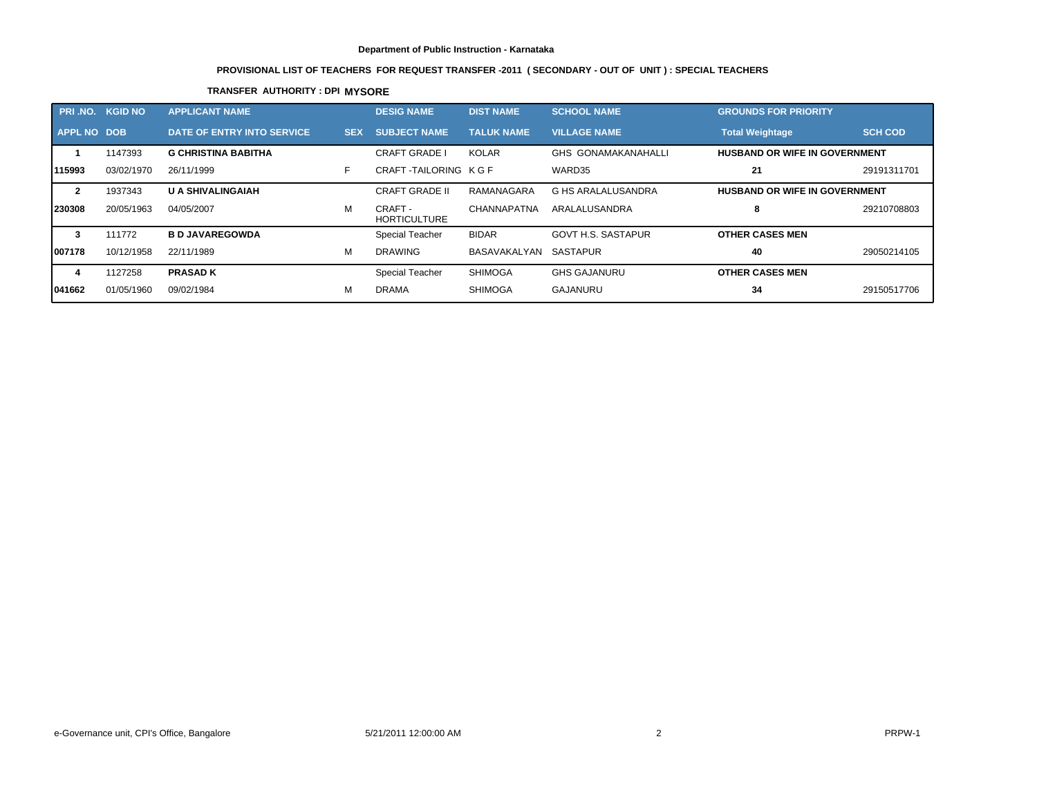# **PROVISIONAL LIST OF TEACHERS FOR REQUEST TRANSFER -2011 ( SECONDARY - OUT OF UNIT ) : SPECIAL TEACHERS**

## **TRANSFER AUTHORITY : DPI MYSORE**

| PRI .NO.           | <b>KGID NO</b> | <b>APPLICANT NAME</b>      |            | <b>DESIG NAME</b>              | <b>DIST NAME</b>  | <b>SCHOOL NAME</b>         | <b>GROUNDS FOR PRIORITY</b>          |                |
|--------------------|----------------|----------------------------|------------|--------------------------------|-------------------|----------------------------|--------------------------------------|----------------|
| <b>APPL NO DOB</b> |                | DATE OF ENTRY INTO SERVICE | <b>SEX</b> | <b>SUBJECT NAME</b>            | <b>TALUK NAME</b> | <b>VILLAGE NAME</b>        | <b>Total Weightage</b>               | <b>SCH COD</b> |
|                    | 1147393        | <b>G CHRISTINA BABITHA</b> |            | <b>CRAFT GRADE I</b>           | <b>KOLAR</b>      | <b>GHS GONAMAKANAHALLI</b> | <b>HUSBAND OR WIFE IN GOVERNMENT</b> |                |
| 115993             | 03/02/1970     | 26/11/1999                 |            | CRAFT-TAILORING KGF            |                   | WARD35                     | 21                                   | 29191311701    |
| $\mathbf{2}$       | 1937343        | <b>U A SHIVALINGAIAH</b>   |            | <b>CRAFT GRADE II</b>          | RAMANAGARA        | G HS ARALALUSANDRA         | <b>HUSBAND OR WIFE IN GOVERNMENT</b> |                |
| 230308             | 20/05/1963     | 04/05/2007                 | м          | CRAFT -<br><b>HORTICULTURE</b> | CHANNAPATNA       | ARALALUSANDRA              | 8                                    | 29210708803    |
| 3                  | 111772         | <b>B D JAVAREGOWDA</b>     |            | Special Teacher                | <b>BIDAR</b>      | <b>GOVT H.S. SASTAPUR</b>  | <b>OTHER CASES MEN</b>               |                |
| 1007178            | 10/12/1958     | 22/11/1989                 | м          | <b>DRAWING</b>                 | BASAVAKALYAN      | SASTAPUR                   | 40                                   | 29050214105    |
| 4                  | 1127258        | <b>PRASAD K</b>            |            | <b>Special Teacher</b>         | <b>SHIMOGA</b>    | <b>GHS GAJANURU</b>        | <b>OTHER CASES MEN</b>               |                |
| 1041662            | 01/05/1960     | 09/02/1984                 | м          | <b>DRAMA</b>                   | SHIMOGA           | GAJANURU                   | 34                                   | 29150517706    |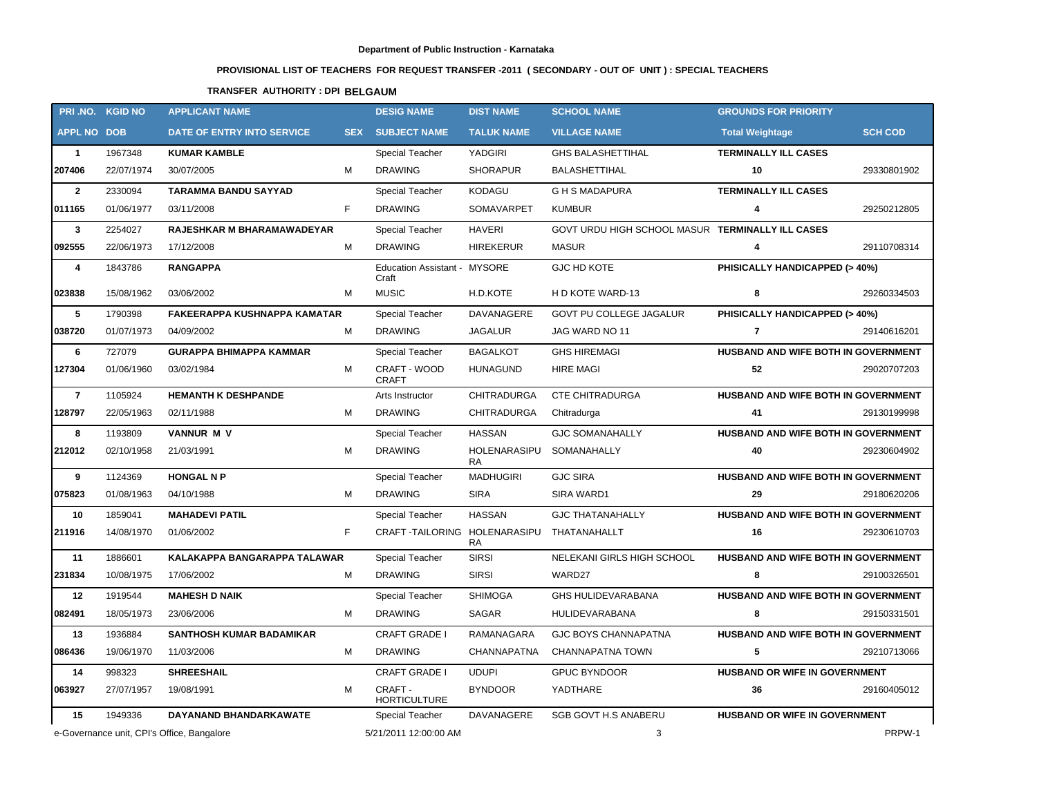# **PROVISIONAL LIST OF TEACHERS FOR REQUEST TRANSFER -2011 ( SECONDARY - OUT OF UNIT ) : SPECIAL TEACHERS**

# **TRANSFER AUTHORITY : DPI BELGAUM**

|                    | PRI.NO. KGID NO | <b>APPLICANT NAME</b>                      |            | <b>DESIG NAME</b>                     | <b>DIST NAME</b>          | <b>SCHOOL NAME</b>                               | <b>GROUNDS FOR PRIORITY</b>          |                |
|--------------------|-----------------|--------------------------------------------|------------|---------------------------------------|---------------------------|--------------------------------------------------|--------------------------------------|----------------|
| <b>APPL NO DOB</b> |                 | DATE OF ENTRY INTO SERVICE                 | <b>SEX</b> | <b>SUBJECT NAME</b>                   | <b>TALUK NAME</b>         | <b>VILLAGE NAME</b>                              | <b>Total Weightage</b>               | <b>SCH COD</b> |
| $\mathbf{1}$       | 1967348         | <b>KUMAR KAMBLE</b>                        |            | <b>Special Teacher</b>                | YADGIRI                   | <b>GHS BALASHETTIHAL</b>                         | <b>TERMINALLY ILL CASES</b>          |                |
| 207406             | 22/07/1974      | 30/07/2005                                 | М          | <b>DRAWING</b>                        | <b>SHORAPUR</b>           | <b>BALASHETTIHAL</b>                             | 10                                   | 29330801902    |
| $\overline{2}$     | 2330094         | <b>TARAMMA BANDU SAYYAD</b>                |            | Special Teacher                       | <b>KODAGU</b>             | <b>GHSMADAPURA</b>                               | <b>TERMINALLY ILL CASES</b>          |                |
| 011165             | 01/06/1977      | 03/11/2008                                 | F.         | <b>DRAWING</b>                        | SOMAVARPET                | <b>KUMBUR</b>                                    | 4                                    | 29250212805    |
| $\mathbf{3}$       | 2254027         | RAJESHKAR M BHARAMAWADEYAR                 |            | <b>Special Teacher</b>                | <b>HAVERI</b>             | GOVT URDU HIGH SCHOOL MASUR TERMINALLY ILL CASES |                                      |                |
| 092555             | 22/06/1973      | 17/12/2008                                 | M          | <b>DRAWING</b>                        | HIREKERUR                 | <b>MASUR</b>                                     | $\overline{4}$                       | 29110708314    |
| 4                  | 1843786         | <b>RANGAPPA</b>                            |            | Education Assistant - MYSORE<br>Craft |                           | GJC HD KOTE                                      | PHISICALLY HANDICAPPED (> 40%)       |                |
| 023838             | 15/08/1962      | 03/06/2002                                 | M          | <b>MUSIC</b>                          | H.D.KOTE                  | H D KOTE WARD-13                                 | 8                                    | 29260334503    |
| 5                  | 1790398         | FAKEERAPPA KUSHNAPPA KAMATAR               |            | Special Teacher                       | DAVANAGERE                | GOVT PU COLLEGE JAGALUR                          | PHISICALLY HANDICAPPED (> 40%)       |                |
| 038720             | 01/07/1973      | 04/09/2002                                 | M          | <b>DRAWING</b>                        | <b>JAGALUR</b>            | JAG WARD NO 11                                   | $\overline{7}$                       | 29140616201    |
| 6                  | 727079          | <b>GURAPPA BHIMAPPA KAMMAR</b>             |            | Special Teacher                       | <b>BAGALKOT</b>           | <b>GHS HIREMAGI</b>                              | HUSBAND AND WIFE BOTH IN GOVERNMENT  |                |
| 127304             | 01/06/1960      | 03/02/1984                                 | М          | CRAFT - WOOD<br><b>CRAFT</b>          | <b>HUNAGUND</b>           | <b>HIRE MAGI</b>                                 | 52                                   | 29020707203    |
| $\overline{7}$     | 1105924         | <b>HEMANTH K DESHPANDE</b>                 |            | Arts Instructor                       | <b>CHITRADURGA</b>        | <b>CTE CHITRADURGA</b>                           | HUSBAND AND WIFE BOTH IN GOVERNMENT  |                |
| 128797             | 22/05/1963      | 02/11/1988                                 | М          | <b>DRAWING</b>                        | <b>CHITRADURGA</b>        | Chitradurga                                      | 41                                   | 29130199998    |
| 8                  | 1193809         | <b>VANNUR M V</b>                          |            | Special Teacher                       | <b>HASSAN</b>             | <b>GJC SOMANAHALLY</b>                           | HUSBAND AND WIFE BOTH IN GOVERNMENT  |                |
| 212012             | 02/10/1958      | 21/03/1991                                 | М          | <b>DRAWING</b>                        | HOLENARASIPU<br><b>RA</b> | SOMANAHALLY                                      | 40                                   | 29230604902    |
| 9                  | 1124369         | <b>HONGAL N P</b>                          |            | <b>Special Teacher</b>                | <b>MADHUGIRI</b>          | <b>GJC SIRA</b>                                  | HUSBAND AND WIFE BOTH IN GOVERNMENT  |                |
| 075823             | 01/08/1963      | 04/10/1988                                 | М          | <b>DRAWING</b>                        | <b>SIRA</b>               | SIRA WARD1                                       | 29                                   | 29180620206    |
| 10                 | 1859041         | <b>MAHADEVI PATIL</b>                      |            | Special Teacher                       | <b>HASSAN</b>             | <b>GJC THATANAHALLY</b>                          | HUSBAND AND WIFE BOTH IN GOVERNMENT  |                |
| 211916             | 14/08/1970      | 01/06/2002                                 | F          | CRAFT-TAILORING HOLENARASIPU          | <b>RA</b>                 | THATANAHALLT                                     | 16                                   | 29230610703    |
| 11                 | 1886601         | KALAKAPPA BANGARAPPA TALAWAR               |            | Special Teacher                       | <b>SIRSI</b>              | NELEKANI GIRLS HIGH SCHOOL                       | HUSBAND AND WIFE BOTH IN GOVERNMENT  |                |
| 231834             | 10/08/1975      | 17/06/2002                                 | М          | <b>DRAWING</b>                        | <b>SIRSI</b>              | WARD27                                           | 8                                    | 29100326501    |
| 12                 | 1919544         | <b>MAHESH D NAIK</b>                       |            | <b>Special Teacher</b>                | <b>SHIMOGA</b>            | <b>GHS HULIDEVARABANA</b>                        | HUSBAND AND WIFE BOTH IN GOVERNMENT  |                |
| 082491             | 18/05/1973      | 23/06/2006                                 | м          | <b>DRAWING</b>                        | <b>SAGAR</b>              | HULIDEVARABANA                                   | 8                                    | 29150331501    |
| 13                 | 1936884         | <b>SANTHOSH KUMAR BADAMIKAR</b>            |            | <b>CRAFT GRADE I</b>                  | <b>RAMANAGARA</b>         | <b>GJC BOYS CHANNAPATNA</b>                      | HUSBAND AND WIFE BOTH IN GOVERNMENT  |                |
| 086436             | 19/06/1970      | 11/03/2006                                 | М          | <b>DRAWING</b>                        | CHANNAPATNA               | CHANNAPATNA TOWN                                 | 5                                    | 29210713066    |
| 14                 | 998323          | <b>SHREESHAIL</b>                          |            | <b>CRAFT GRADE I</b>                  | <b>UDUPI</b>              | <b>GPUC BYNDOOR</b>                              | <b>HUSBAND OR WIFE IN GOVERNMENT</b> |                |
| 063927             | 27/07/1957      | 19/08/1991                                 | м          | CRAFT -<br><b>HORTICULTURE</b>        | <b>BYNDOOR</b>            | YADTHARE                                         | 36                                   | 29160405012    |
| 15                 | 1949336         | DAYANAND BHANDARKAWATE                     |            | Special Teacher                       | <b>DAVANAGERE</b>         | <b>SGB GOVT H.S ANABERU</b>                      | HUSBAND OR WIFE IN GOVERNMENT        |                |
|                    |                 | e-Governance unit, CPI's Office, Bangalore |            | 5/21/2011 12:00:00 AM                 |                           | 3                                                |                                      | PRPW-1         |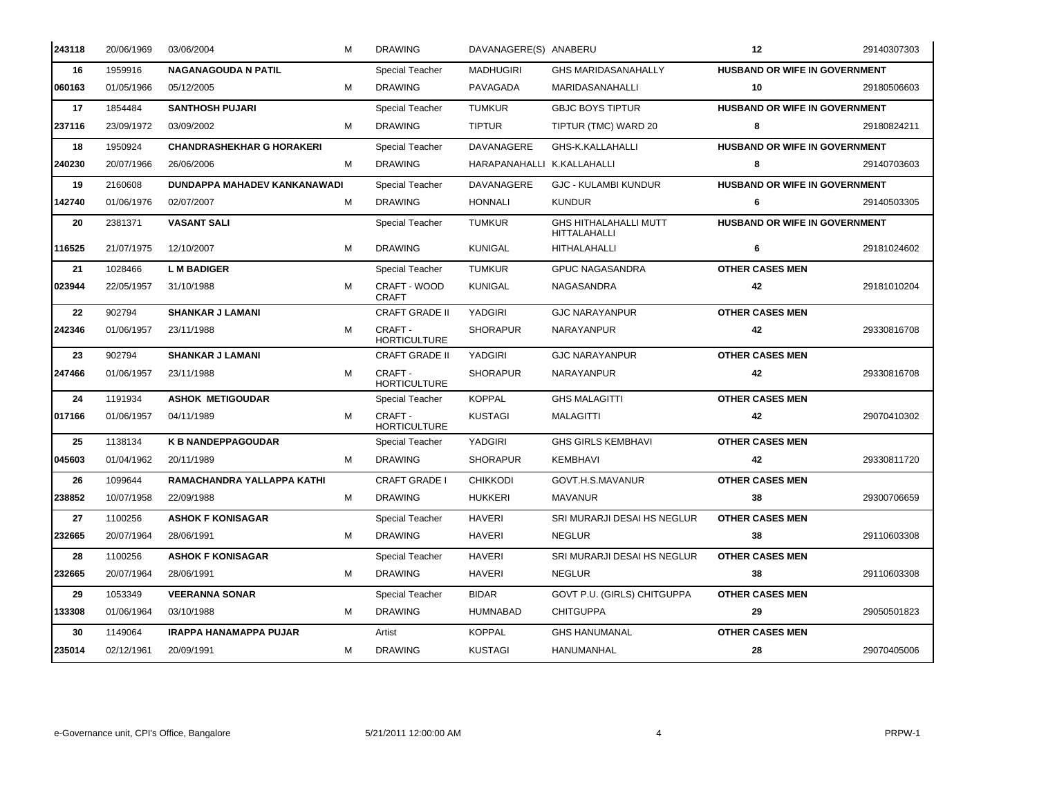| 243118 | 20/06/1969 | 03/06/2004                       | M | <b>DRAWING</b>                 | DAVANAGERE(S) ANABERU      |                                              | 12                                   | 29140307303 |
|--------|------------|----------------------------------|---|--------------------------------|----------------------------|----------------------------------------------|--------------------------------------|-------------|
| 16     | 1959916    | <b>NAGANAGOUDA N PATIL</b>       |   | Special Teacher                | <b>MADHUGIRI</b>           | <b>GHS MARIDASANAHALLY</b>                   | <b>HUSBAND OR WIFE IN GOVERNMENT</b> |             |
| 060163 | 01/05/1966 | 05/12/2005                       | м | <b>DRAWING</b>                 | PAVAGADA                   | MARIDASANAHALLI                              | 10                                   | 29180506603 |
| 17     | 1854484    | <b>SANTHOSH PUJARI</b>           |   | <b>Special Teacher</b>         | <b>TUMKUR</b>              | <b>GBJC BOYS TIPTUR</b>                      | HUSBAND OR WIFE IN GOVERNMENT        |             |
| 237116 | 23/09/1972 | 03/09/2002                       | м | <b>DRAWING</b>                 | <b>TIPTUR</b>              | TIPTUR (TMC) WARD 20                         | 8                                    | 29180824211 |
| 18     | 1950924    | <b>CHANDRASHEKHAR G HORAKERI</b> |   | <b>Special Teacher</b>         | DAVANAGERE                 | GHS-K.KALLAHALLI                             | <b>HUSBAND OR WIFE IN GOVERNMENT</b> |             |
| 240230 | 20/07/1966 | 26/06/2006                       | м | <b>DRAWING</b>                 | HARAPANAHALLI K.KALLAHALLI |                                              | 8                                    | 29140703603 |
| 19     | 2160608    | DUNDAPPA MAHADEV KANKANAWADI     |   | Special Teacher                | DAVANAGERE                 | <b>GJC - KULAMBI KUNDUR</b>                  | <b>HUSBAND OR WIFE IN GOVERNMENT</b> |             |
| 142740 | 01/06/1976 | 02/07/2007                       | м | <b>DRAWING</b>                 | <b>HONNALI</b>             | <b>KUNDUR</b>                                | 6                                    | 29140503305 |
| 20     | 2381371    | <b>VASANT SALI</b>               |   | Special Teacher                | <b>TUMKUR</b>              | <b>GHS HITHALAHALLI MUTT</b><br>HITTALAHALLI | <b>HUSBAND OR WIFE IN GOVERNMENT</b> |             |
| 116525 | 21/07/1975 | 12/10/2007                       | м | <b>DRAWING</b>                 | <b>KUNIGAL</b>             | HITHALAHALLI                                 | 6                                    | 29181024602 |
| 21     | 1028466    | <b>L M BADIGER</b>               |   | <b>Special Teacher</b>         | <b>TUMKUR</b>              | <b>GPUC NAGASANDRA</b>                       | <b>OTHER CASES MEN</b>               |             |
| 023944 | 22/05/1957 | 31/10/1988                       | м | CRAFT - WOOD<br><b>CRAFT</b>   | <b>KUNIGAL</b>             | NAGASANDRA                                   | 42                                   | 29181010204 |
| 22     | 902794     | <b>SHANKAR J LAMANI</b>          |   | <b>CRAFT GRADE II</b>          | YADGIRI                    | <b>GJC NARAYANPUR</b>                        | <b>OTHER CASES MEN</b>               |             |
| 242346 | 01/06/1957 | 23/11/1988                       | м | CRAFT-<br><b>HORTICULTURE</b>  | <b>SHORAPUR</b>            | NARAYANPUR                                   | 42                                   | 29330816708 |
| 23     | 902794     | <b>SHANKAR J LAMANI</b>          |   | <b>CRAFT GRADE II</b>          | YADGIRI                    | <b>GJC NARAYANPUR</b>                        | <b>OTHER CASES MEN</b>               |             |
| 247466 | 01/06/1957 | 23/11/1988                       | M | CRAFT -<br><b>HORTICULTURE</b> | <b>SHORAPUR</b>            | <b>NARAYANPUR</b>                            | 42                                   | 29330816708 |
| 24     | 1191934    | <b>ASHOK METIGOUDAR</b>          |   | Special Teacher                | <b>KOPPAL</b>              | <b>GHS MALAGITTI</b>                         | <b>OTHER CASES MEN</b>               |             |
| 017166 | 01/06/1957 | 04/11/1989                       | м | CRAFT -<br><b>HORTICULTURE</b> | <b>KUSTAGI</b>             | <b>MALAGITTI</b>                             | 42                                   | 29070410302 |
| 25     | 1138134    | <b>K B NANDEPPAGOUDAR</b>        |   | <b>Special Teacher</b>         | YADGIRI                    | <b>GHS GIRLS KEMBHAVI</b>                    | <b>OTHER CASES MEN</b>               |             |
| 045603 | 01/04/1962 | 20/11/1989                       | м | <b>DRAWING</b>                 | <b>SHORAPUR</b>            | KEMBHAVI                                     | 42                                   | 29330811720 |
| 26     | 1099644    | RAMACHANDRA YALLAPPA KATHI       |   | <b>CRAFT GRADE I</b>           | <b>CHIKKODI</b>            | GOVT.H.S.MAVANUR                             | <b>OTHER CASES MEN</b>               |             |
| 238852 | 10/07/1958 | 22/09/1988                       | м | <b>DRAWING</b>                 | <b>HUKKERI</b>             | <b>MAVANUR</b>                               | 38                                   | 29300706659 |
| 27     | 1100256    | <b>ASHOK F KONISAGAR</b>         |   | <b>Special Teacher</b>         | <b>HAVERI</b>              | SRI MURARJI DESAI HS NEGLUR                  | <b>OTHER CASES MEN</b>               |             |
| 232665 | 20/07/1964 | 28/06/1991                       | м | <b>DRAWING</b>                 | <b>HAVERI</b>              | <b>NEGLUR</b>                                | 38                                   | 29110603308 |
| 28     | 1100256    | <b>ASHOK F KONISAGAR</b>         |   | Special Teacher                | <b>HAVERI</b>              | SRI MURARJI DESAI HS NEGLUR                  | <b>OTHER CASES MEN</b>               |             |
| 232665 | 20/07/1964 | 28/06/1991                       | м | <b>DRAWING</b>                 | <b>HAVERI</b>              | <b>NEGLUR</b>                                | 38                                   | 29110603308 |
| 29     | 1053349    | <b>VEERANNA SONAR</b>            |   | Special Teacher                | <b>BIDAR</b>               | GOVT P.U. (GIRLS) CHITGUPPA                  | <b>OTHER CASES MEN</b>               |             |
| 133308 | 01/06/1964 | 03/10/1988                       | м | <b>DRAWING</b>                 | <b>HUMNABAD</b>            | <b>CHITGUPPA</b>                             | 29                                   | 29050501823 |
| 30     | 1149064    | <b>IRAPPA HANAMAPPA PUJAR</b>    |   | Artist                         | <b>KOPPAL</b>              | <b>GHS HANUMANAL</b>                         | <b>OTHER CASES MEN</b>               |             |
| 235014 | 02/12/1961 | 20/09/1991                       | M | <b>DRAWING</b>                 | <b>KUSTAGI</b>             | HANUMANHAL                                   | 28                                   | 29070405006 |